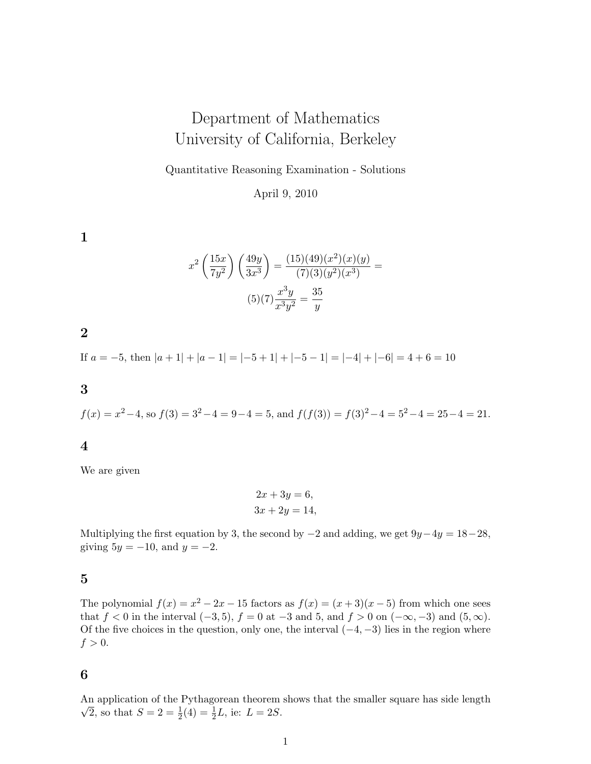# Department of Mathematics University of California, Berkeley

Quantitative Reasoning Examination - Solutions

April 9, 2010

1

$$
x^{2} \left(\frac{15x}{7y^{2}}\right) \left(\frac{49y}{3x^{3}}\right) = \frac{(15)(49)(x^{2})(x)(y)}{(7)(3)(y^{2})(x^{3})} =
$$

$$
(5)(7)\frac{x^{3}y}{x^{3}y^{2}} = \frac{35}{y}
$$

2

If  $a = -5$ , then  $|a + 1| + |a - 1| = |-5 + 1| + |-5 - 1| = |-4| + |-6| = 4 + 6 = 10$ 

3

$$
f(x) = x^2 - 4
$$
, so  $f(3) = 3^2 - 4 = 9 - 4 = 5$ , and  $f(f(3)) = f(3)^2 - 4 = 5^2 - 4 = 25 - 4 = 21$ .

4

We are given

$$
2x + 3y = 6,
$$
  

$$
3x + 2y = 14,
$$

Multiplying the first equation by 3, the second by  $-2$  and adding, we get  $9y-4y=18-28$ , giving  $5y = -10$ , and  $y = -2$ .

## 5

The polynomial  $f(x) = x^2 - 2x - 15$  factors as  $f(x) = (x+3)(x-5)$  from which one sees that f < 0 in the interval  $(-3, 5)$ ,  $f = 0$  at  $-3$  and 5, and  $f > 0$  on  $(-\infty, -3)$  and  $(5, \infty)$ . Of the five choices in the question, only one, the interval  $(-4, -3)$  lies in the region where  $f > 0$ .

### 6

An application of the Pythagorean theorem shows that the smaller square has side length  $\overline{2}$ , so that  $S = 2 = \frac{1}{2}(4) = \frac{1}{2}L$ , ie:  $L = 2S$ .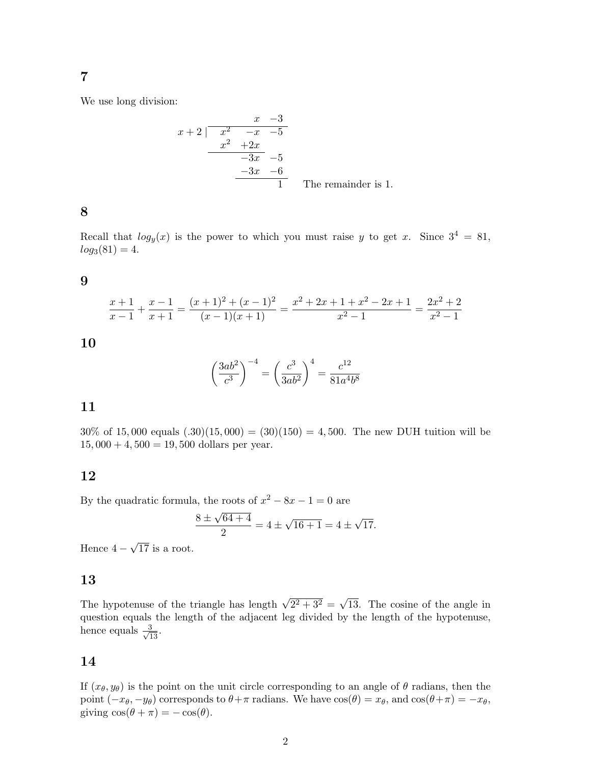# 7

We use long division:

$$
\begin{array}{r|l}\n & x & -3 \\
x+2 & \overline{\smash)x^2 & -x & -5} \\
\hline\n & x^2 & +2x & \\
\hline\n & -3x & -5 & \\
\hline\n & 1 & \text{The remainder is 1.}\n\end{array}
$$

# 8

Recall that  $log_y(x)$  is the power to which you must raise y to get x. Since  $3^4 = 81$ ,  $log_3(81) = 4.$ 

#### 9

$$
\frac{x+1}{x-1} + \frac{x-1}{x+1} = \frac{(x+1)^2 + (x-1)^2}{(x-1)(x+1)} = \frac{x^2 + 2x + 1 + x^2 - 2x + 1}{x^2 - 1} = \frac{2x^2 + 2}{x^2 - 1}
$$

10

$$
\left(\frac{3ab^2}{c^3}\right)^{-4} = \left(\frac{c^3}{3ab^2}\right)^4 = \frac{c^{12}}{81a^4b^8}
$$

## 11

 $30\%$  of 15,000 equals  $(.30)(15,000) = (30)(150) = 4,500$ . The new DUH tuition will be  $15,000 + 4,500 = 19,500$  dollars per year.

## 12

By the quadratic formula, the roots of  $x^2 - 8x - 1 = 0$  are

$$
\frac{8 \pm \sqrt{64 + 4}}{2} = 4 \pm \sqrt{16 + 1} = 4 \pm \sqrt{17}.
$$

Hence 4 − √ 17 is a root.

## 13

The hypotenuse of the triangle has length  $\sqrt{2^2 + 3^2}$  = √ 13. The cosine of the angle in question equals the length of the adjacent leg divided by the length of the hypotenuse, hence equals  $\frac{3}{\sqrt{13}}$ .

#### 14

If  $(x_{\theta}, y_{\theta})$  is the point on the unit circle corresponding to an angle of  $\theta$  radians, then the point  $(-x_{\theta}, -y_{\theta})$  corresponds to  $\theta + \pi$  radians. We have  $\cos(\theta) = x_{\theta}$ , and  $\cos(\theta + \pi) = -x_{\theta}$ , giving  $\cos(\theta + \pi) = -\cos(\theta)$ .